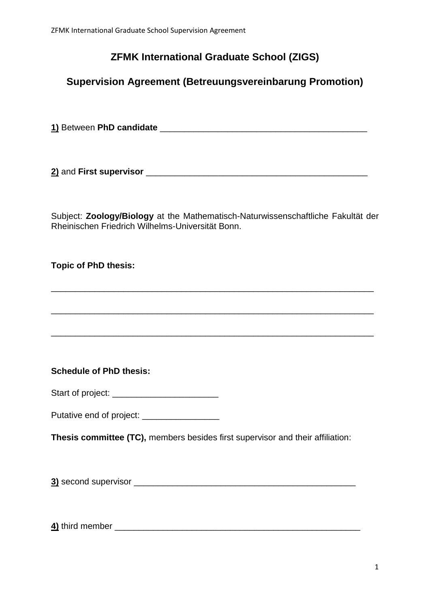# **ZFMK International Graduate School (ZIGS)**

# **Supervision Agreement (Betreuungsvereinbarung Promotion)**

**1)** Between **PhD candidate** \_\_\_\_\_\_\_\_\_\_\_\_\_\_\_\_\_\_\_\_\_\_\_\_\_\_\_\_\_\_\_\_\_\_\_\_\_\_\_\_\_\_\_

**2)** and **First supervisor** \_\_\_\_\_\_\_\_\_\_\_\_\_\_\_\_\_\_\_\_\_\_\_\_\_\_\_\_\_\_\_\_\_\_\_\_\_\_\_\_\_\_\_\_\_\_

Subject: **Zoology/Biology** at the Mathematisch-Naturwissenschaftliche Fakultät der Rheinischen Friedrich Wilhelms-Universität Bonn.

\_\_\_\_\_\_\_\_\_\_\_\_\_\_\_\_\_\_\_\_\_\_\_\_\_\_\_\_\_\_\_\_\_\_\_\_\_\_\_\_\_\_\_\_\_\_\_\_\_\_\_\_\_\_\_\_\_\_\_\_\_\_\_\_\_\_\_

\_\_\_\_\_\_\_\_\_\_\_\_\_\_\_\_\_\_\_\_\_\_\_\_\_\_\_\_\_\_\_\_\_\_\_\_\_\_\_\_\_\_\_\_\_\_\_\_\_\_\_\_\_\_\_\_\_\_\_\_\_\_\_\_\_\_\_

\_\_\_\_\_\_\_\_\_\_\_\_\_\_\_\_\_\_\_\_\_\_\_\_\_\_\_\_\_\_\_\_\_\_\_\_\_\_\_\_\_\_\_\_\_\_\_\_\_\_\_\_\_\_\_\_\_\_\_\_\_\_\_\_\_\_\_

**Topic of PhD thesis:**

**Schedule of PhD thesis:**

| Start of project: |  |
|-------------------|--|
|                   |  |

Putative end of project: \_\_\_\_\_\_\_\_\_\_\_\_\_\_\_\_

**Thesis committee (TC),** members besides first supervisor and their affiliation:

**3)** second supervisor \_\_\_\_\_\_\_\_\_\_\_\_\_\_\_\_\_\_\_\_\_\_\_\_\_\_\_\_\_\_\_\_\_\_\_\_\_\_\_\_\_\_\_\_\_\_

**4)** third member \_\_\_\_\_\_\_\_\_\_\_\_\_\_\_\_\_\_\_\_\_\_\_\_\_\_\_\_\_\_\_\_\_\_\_\_\_\_\_\_\_\_\_\_\_\_\_\_\_\_\_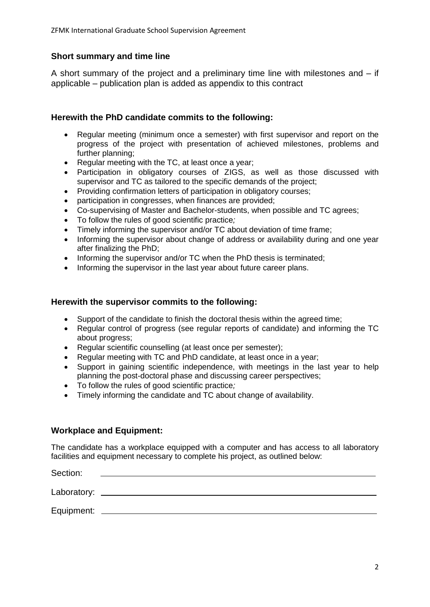# **Short summary and time line**

A short summary of the project and a preliminary time line with milestones and – if applicable – publication plan is added as appendix to this contract

## **Herewith the PhD candidate commits to the following:**

- Regular meeting (minimum once a semester) with first supervisor and report on the progress of the project with presentation of achieved milestones, problems and further planning;
- Regular meeting with the TC, at least once a year;
- Participation in obligatory courses of ZIGS, as well as those discussed with supervisor and TC as tailored to the specific demands of the project;
- Providing confirmation letters of participation in obligatory courses;
- participation in congresses, when finances are provided;
- Co-supervising of Master and Bachelor-students, when possible and TC agrees;
- To follow the rules of good scientific practice*;*
- Timely informing the supervisor and/or TC about deviation of time frame;
- Informing the supervisor about change of address or availability during and one year after finalizing the PhD;
- Informing the supervisor and/or TC when the PhD thesis is terminated;
- Informing the supervisor in the last year about future career plans.

#### **Herewith the supervisor commits to the following:**

- Support of the candidate to finish the doctoral thesis within the agreed time;
- Regular control of progress (see regular reports of candidate) and informing the TC about progress;
- Regular scientific counselling (at least once per semester);
- Regular meeting with TC and PhD candidate, at least once in a year;
- Support in gaining scientific independence, with meetings in the last year to help planning the post-doctoral phase and discussing career perspectives;
- To follow the rules of good scientific practice*;*
- Timely informing the candidate and TC about change of availability.

## **Workplace and Equipment:**

The candidate has a workplace equipped with a computer and has access to all laboratory facilities and equipment necessary to complete his project, as outlined below:

| Section:    |  |
|-------------|--|
| Laboratory: |  |
| Equipment:  |  |